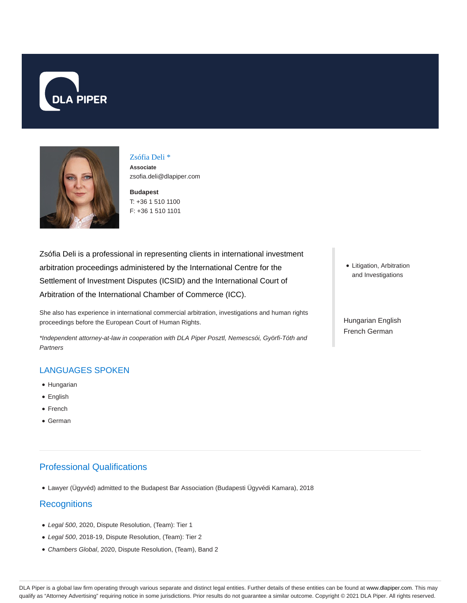



# Zsófia Deli \*

**Associate** zsofia.deli@dlapiper.com

**Budapest** T: +36 1 510 1100 F: +36 1 510 1101

Zsófia Deli is a professional in representing clients in international investment arbitration proceedings administered by the International Centre for the Settlement of Investment Disputes (ICSID) and the International Court of Arbitration of the International Chamber of Commerce (ICC).

She also has experience in international commercial arbitration, investigations and human rights proceedings before the European Court of Human Rights.

\*Independent attorney-at-law in cooperation with DLA Piper Posztl, Nemescsói, Györfi-Tóth and **Partners** 

### LANGUAGES SPOKEN

- Hungarian
- English
- French
- German

## Professional Qualifications

Lawyer (Ügyvéd) admitted to the Budapest Bar Association (Budapesti Ügyvédi Kamara), 2018

### **Recognitions**

- Legal 500, 2020, Dispute Resolution, (Team): Tier 1
- Legal 500, 2018-19, Dispute Resolution, (Team): Tier 2
- Chambers Global, 2020, Dispute Resolution, (Team), Band 2

Litigation, Arbitration and Investigations

Hungarian English French German